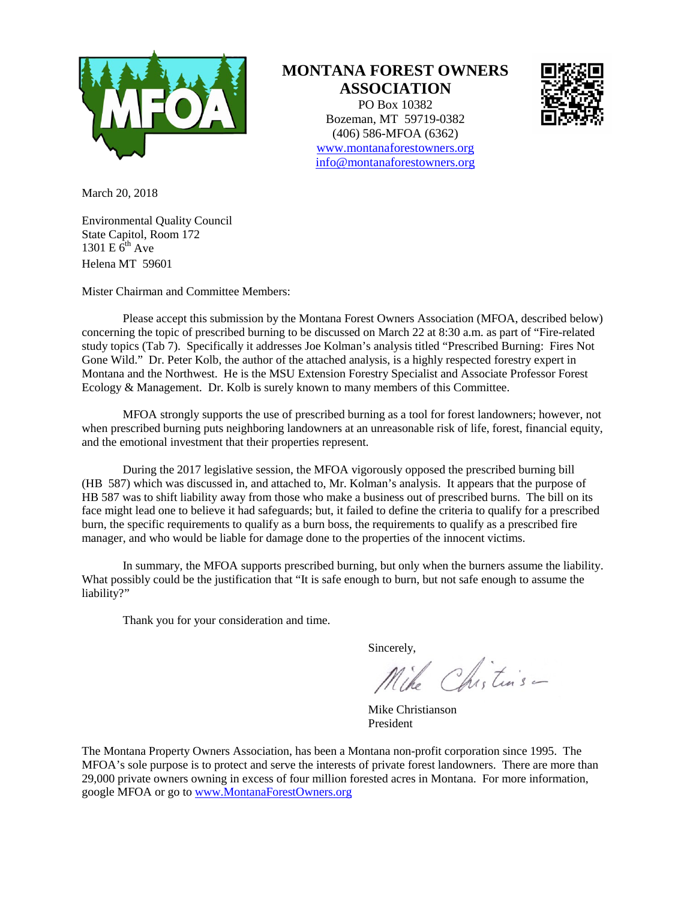

## **MONTANA FOREST OWNERS ASSOCIATION**

PO Box 10382 Bozeman, MT 59719-0382 (406) 586-MFOA (6362) [www.montanaforestowners.org](http://www.montanaforestowners.org/) [info@montanaforestowners.org](mailto:info@montanaforestowners.org)



March 20, 2018

Environmental Quality Council State Capitol, Room 172 1301 E  $6^{th}$  Ave Helena MT 59601

Mister Chairman and Committee Members:

Please accept this submission by the Montana Forest Owners Association (MFOA, described below) concerning the topic of prescribed burning to be discussed on March 22 at 8:30 a.m. as part of "Fire-related study topics (Tab 7). Specifically it addresses Joe Kolman's analysis titled "Prescribed Burning: Fires Not Gone Wild." Dr. Peter Kolb, the author of the attached analysis, is a highly respected forestry expert in Montana and the Northwest. He is the MSU Extension Forestry Specialist and Associate Professor Forest Ecology & Management. Dr. Kolb is surely known to many members of this Committee.

MFOA strongly supports the use of prescribed burning as a tool for forest landowners; however, not when prescribed burning puts neighboring landowners at an unreasonable risk of life, forest, financial equity, and the emotional investment that their properties represent.

During the 2017 legislative session, the MFOA vigorously opposed the prescribed burning bill (HB 587) which was discussed in, and attached to, Mr. Kolman's analysis. It appears that the purpose of HB 587 was to shift liability away from those who make a business out of prescribed burns. The bill on its face might lead one to believe it had safeguards; but, it failed to define the criteria to qualify for a prescribed burn, the specific requirements to qualify as a burn boss, the requirements to qualify as a prescribed fire manager, and who would be liable for damage done to the properties of the innocent victims.

In summary, the MFOA supports prescribed burning, but only when the burners assume the liability. What possibly could be the justification that "It is safe enough to burn, but not safe enough to assume the liability?"

Thank you for your consideration and time.

Sincerely,<br>Mike Chisturs -

Mike Christianson President

The Montana Property Owners Association, has been a Montana non-profit corporation since 1995. The MFOA's sole purpose is to protect and serve the interests of private forest landowners. There are more than 29,000 private owners owning in excess of four million forested acres in Montana. For more information, google MFOA or go to [www.MontanaForestOwners.org](http://www.montanaforestowners.org/)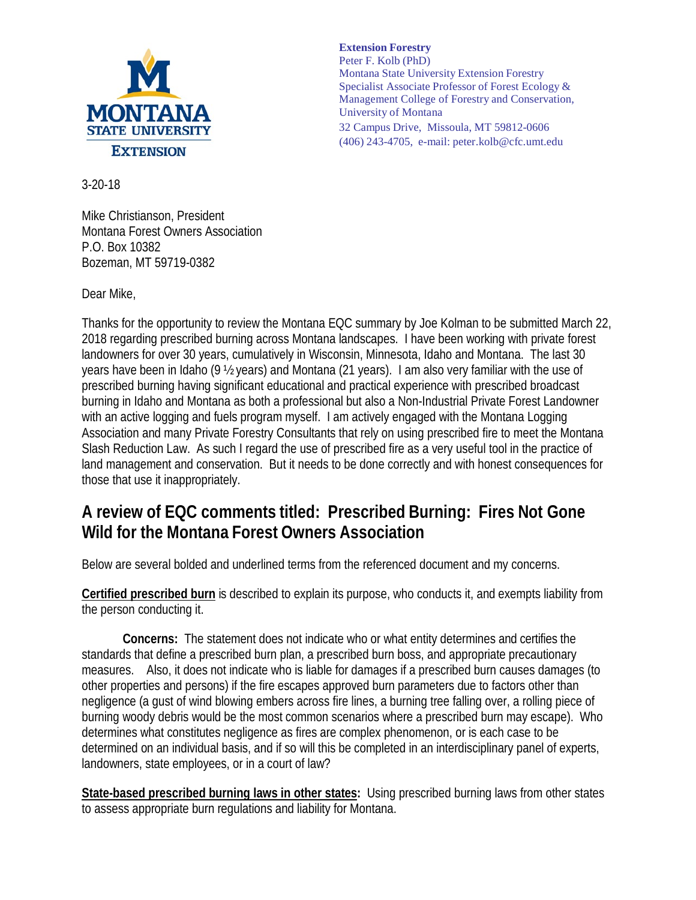

3-20-18

Mike Christianson, President Montana Forest Owners Association P.O. Box 10382 Bozeman, MT 59719-0382

Dear Mike,

Thanks for the opportunity to review the Montana EQC summary by Joe Kolman to be submitted March 22, 2018 regarding prescribed burning across Montana landscapes. I have been working with private forest landowners for over 30 years, cumulatively in Wisconsin, Minnesota, Idaho and Montana. The last 30 years have been in Idaho (9 ½ years) and Montana (21 years). I am also very familiar with the use of prescribed burning having significant educational and practical experience with prescribed broadcast burning in Idaho and Montana as both a professional but also a Non-Industrial Private Forest Landowner with an active logging and fuels program myself. I am actively engaged with the Montana Logging Association and many Private Forestry Consultants that rely on using prescribed fire to meet the Montana Slash Reduction Law. As such I regard the use of prescribed fire as a very useful tool in the practice of

land management and conservation. But it needs to be done correctly and with honest consequences for those that use it inappropriately.

## **A review of EQC comments titled: Prescribed Burning: Fires Not Gone Wild for the Montana Forest Owners Association**

Below are several bolded and underlined terms from the referenced document and my concerns.

**Certified prescribed burn** is described to explain its purpose, who conducts it, and exempts liability from the person conducting it.

**Concerns:** The statement does not indicate who or what entity determines and certifies the standards that define a prescribed burn plan, a prescribed burn boss, and appropriate precautionary measures. Also, it does not indicate who is liable for damages if a prescribed burn causes damages (to other properties and persons) if the fire escapes approved burn parameters due to factors other than negligence (a gust of wind blowing embers across fire lines, a burning tree falling over, a rolling piece of burning woody debris would be the most common scenarios where a prescribed burn may escape). Who determines what constitutes negligence as fires are complex phenomenon, or is each case to be determined on an individual basis, and if so will this be completed in an interdisciplinary panel of experts, landowners, state employees, or in a court of law?

**State-based prescribed burning laws in other states:** Using prescribed burning laws from other states to assess appropriate burn regulations and liability for Montana.

## **Extension Forestry**

Peter F. Kolb (PhD) Montana State University Extension Forestry Specialist Associate Professor of Forest Ecology & Management College of Forestry and Conservation, University of Montana 32 Campus Drive, Missoula, MT 59812-0606 (406) 243-4705, e-mail: [peter.kolb@cfc.umt.edu](mailto:peter.kolb@cfc.umt.edu)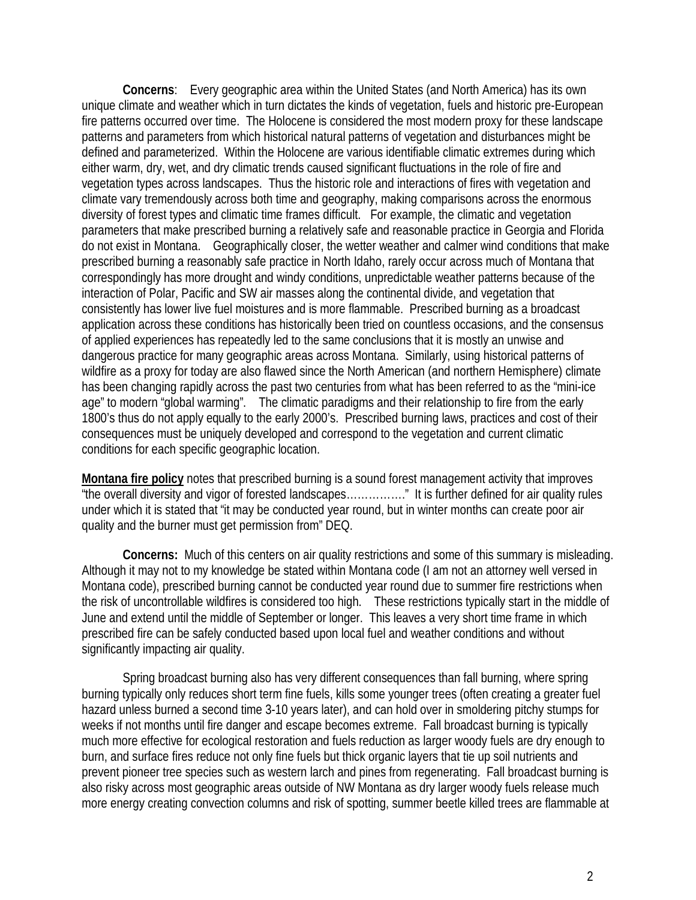**Concerns**: Every geographic area within the United States (and North America) has its own unique climate and weather which in turn dictates the kinds of vegetation, fuels and historic pre-European fire patterns occurred over time. The Holocene is considered the most modern proxy for these landscape patterns and parameters from which historical natural patterns of vegetation and disturbances might be defined and parameterized. Within the Holocene are various identifiable climatic extremes during which either warm, dry, wet, and dry climatic trends caused significant fluctuations in the role of fire and vegetation types across landscapes. Thus the historic role and interactions of fires with vegetation and climate vary tremendously across both time and geography, making comparisons across the enormous diversity of forest types and climatic time frames difficult. For example, the climatic and vegetation parameters that make prescribed burning a relatively safe and reasonable practice in Georgia and Florida do not exist in Montana. Geographically closer, the wetter weather and calmer wind conditions that make prescribed burning a reasonably safe practice in North Idaho, rarely occur across much of Montana that correspondingly has more drought and windy conditions, unpredictable weather patterns because of the interaction of Polar, Pacific and SW air masses along the continental divide, and vegetation that consistently has lower live fuel moistures and is more flammable. Prescribed burning as a broadcast application across these conditions has historically been tried on countless occasions, and the consensus of applied experiences has repeatedly led to the same conclusions that it is mostly an unwise and dangerous practice for many geographic areas across Montana. Similarly, using historical patterns of wildfire as a proxy for today are also flawed since the North American (and northern Hemisphere) climate has been changing rapidly across the past two centuries from what has been referred to as the "mini-ice age" to modern "global warming". The climatic paradigms and their relationship to fire from the early 1800's thus do not apply equally to the early 2000's. Prescribed burning laws, practices and cost of their consequences must be uniquely developed and correspond to the vegetation and current climatic conditions for each specific geographic location.

**Montana fire policy** notes that prescribed burning is a sound forest management activity that improves "the overall diversity and vigor of forested landscapes……………." It is further defined for air quality rules under which it is stated that "it may be conducted year round, but in winter months can create poor air quality and the burner must get permission from" DEQ.

**Concerns:** Much of this centers on air quality restrictions and some of this summary is misleading. Although it may not to my knowledge be stated within Montana code (I am not an attorney well versed in Montana code), prescribed burning cannot be conducted year round due to summer fire restrictions when the risk of uncontrollable wildfires is considered too high. These restrictions typically start in the middle of June and extend until the middle of September or longer. This leaves a very short time frame in which prescribed fire can be safely conducted based upon local fuel and weather conditions and without significantly impacting air quality.

Spring broadcast burning also has very different consequences than fall burning, where spring burning typically only reduces short term fine fuels, kills some younger trees (often creating a greater fuel hazard unless burned a second time 3-10 years later), and can hold over in smoldering pitchy stumps for weeks if not months until fire danger and escape becomes extreme. Fall broadcast burning is typically much more effective for ecological restoration and fuels reduction as larger woody fuels are dry enough to burn, and surface fires reduce not only fine fuels but thick organic layers that tie up soil nutrients and prevent pioneer tree species such as western larch and pines from regenerating. Fall broadcast burning is also risky across most geographic areas outside of NW Montana as dry larger woody fuels release much more energy creating convection columns and risk of spotting, summer beetle killed trees are flammable at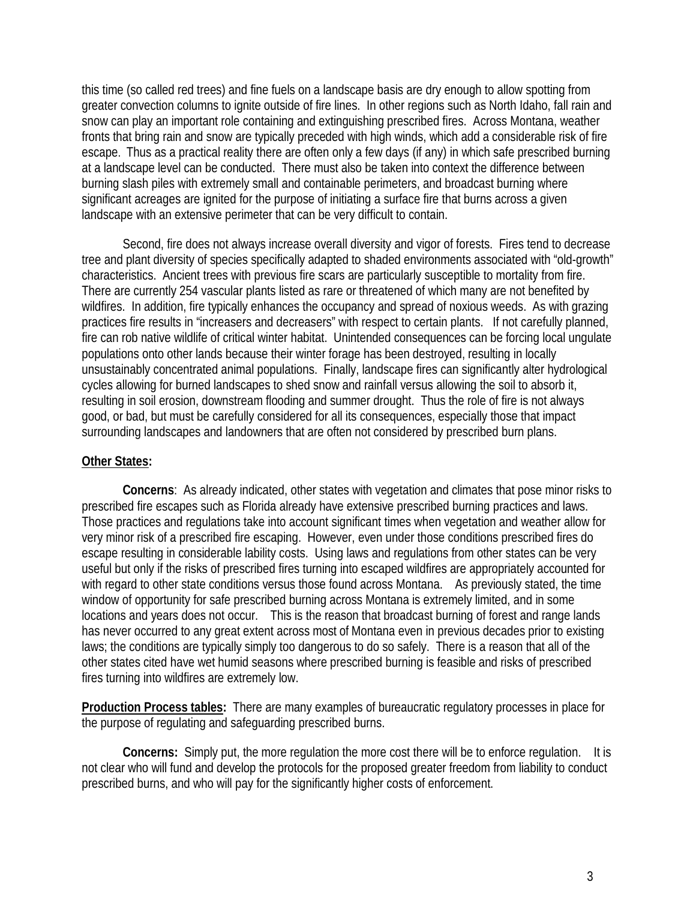this time (so called red trees) and fine fuels on a landscape basis are dry enough to allow spotting from greater convection columns to ignite outside of fire lines. In other regions such as North Idaho, fall rain and snow can play an important role containing and extinguishing prescribed fires. Across Montana, weather fronts that bring rain and snow are typically preceded with high winds, which add a considerable risk of fire escape. Thus as a practical reality there are often only a few days (if any) in which safe prescribed burning at a landscape level can be conducted. There must also be taken into context the difference between burning slash piles with extremely small and containable perimeters, and broadcast burning where significant acreages are ignited for the purpose of initiating a surface fire that burns across a given landscape with an extensive perimeter that can be very difficult to contain.

Second, fire does not always increase overall diversity and vigor of forests. Fires tend to decrease tree and plant diversity of species specifically adapted to shaded environments associated with "old-growth" characteristics. Ancient trees with previous fire scars are particularly susceptible to mortality from fire. There are currently 254 vascular plants listed as rare or threatened of which many are not benefited by wildfires. In addition, fire typically enhances the occupancy and spread of noxious weeds. As with grazing practices fire results in "increasers and decreasers" with respect to certain plants. If not carefully planned, fire can rob native wildlife of critical winter habitat. Unintended consequences can be forcing local ungulate populations onto other lands because their winter forage has been destroyed, resulting in locally unsustainably concentrated animal populations. Finally, landscape fires can significantly alter hydrological cycles allowing for burned landscapes to shed snow and rainfall versus allowing the soil to absorb it, resulting in soil erosion, downstream flooding and summer drought. Thus the role of fire is not always good, or bad, but must be carefully considered for all its consequences, especially those that impact surrounding landscapes and landowners that are often not considered by prescribed burn plans.

## **Other States:**

**Concerns**: As already indicated, other states with vegetation and climates that pose minor risks to prescribed fire escapes such as Florida already have extensive prescribed burning practices and laws. Those practices and regulations take into account significant times when vegetation and weather allow for very minor risk of a prescribed fire escaping. However, even under those conditions prescribed fires do escape resulting in considerable lability costs. Using laws and regulations from other states can be very useful but only if the risks of prescribed fires turning into escaped wildfires are appropriately accounted for with regard to other state conditions versus those found across Montana. As previously stated, the time window of opportunity for safe prescribed burning across Montana is extremely limited, and in some locations and years does not occur. This is the reason that broadcast burning of forest and range lands has never occurred to any great extent across most of Montana even in previous decades prior to existing laws; the conditions are typically simply too dangerous to do so safely. There is a reason that all of the other states cited have wet humid seasons where prescribed burning is feasible and risks of prescribed fires turning into wildfires are extremely low.

**Production Process tables:** There are many examples of bureaucratic regulatory processes in place for the purpose of regulating and safeguarding prescribed burns.

**Concerns:** Simply put, the more regulation the more cost there will be to enforce regulation. It is not clear who will fund and develop the protocols for the proposed greater freedom from liability to conduct prescribed burns, and who will pay for the significantly higher costs of enforcement.